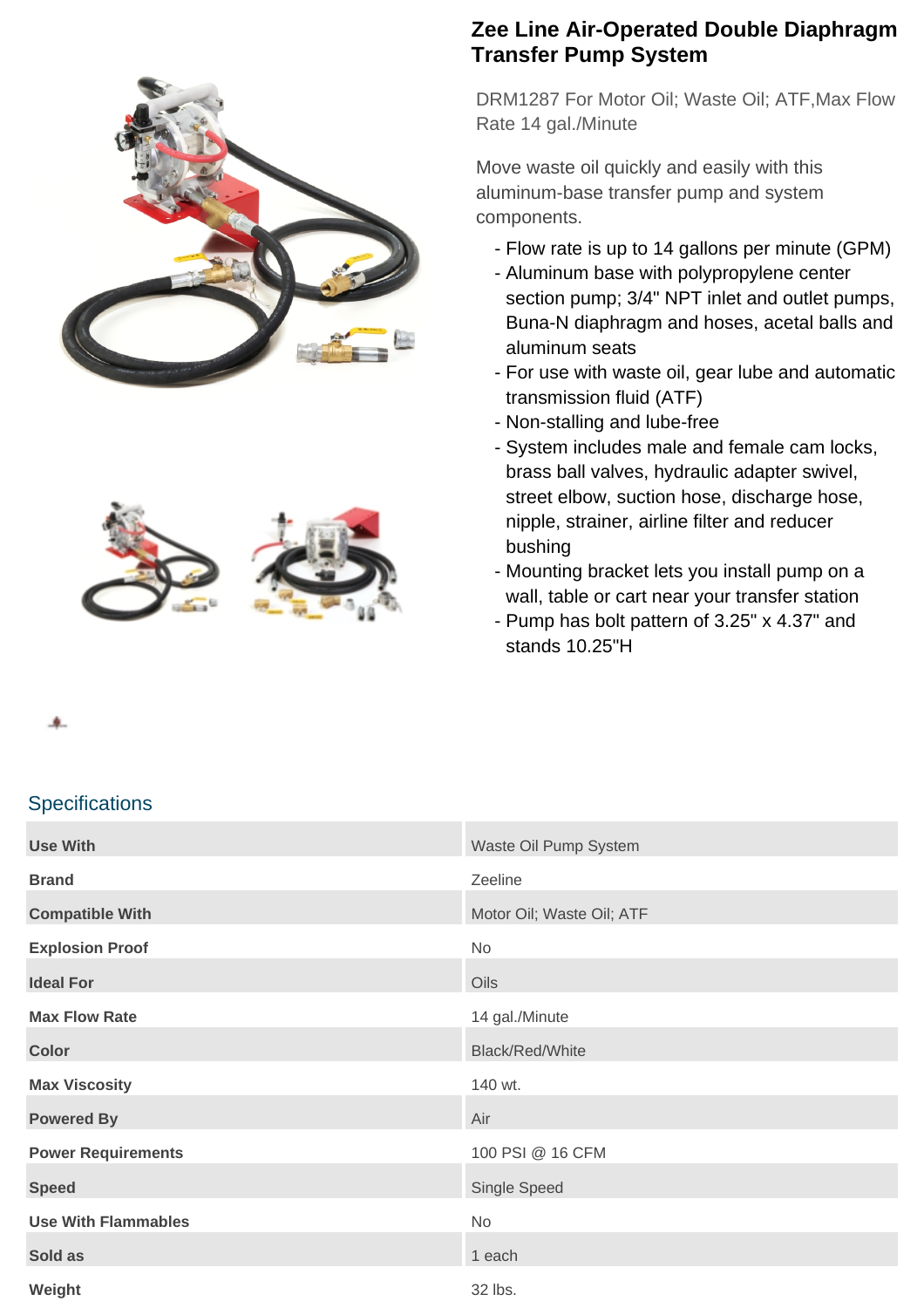



## **Zee Line Air-Operated Double Diaphragm Transfer Pump System**

DRM1287 For Motor Oil; Waste Oil; ATF,Max Flow Rate 14 gal./Minute

Move waste oil quickly and easily with this aluminum-base transfer pump and system components.

- Flow rate is up to 14 gallons per minute (GPM)
- Aluminum base with polypropylene center section pump; 3/4" NPT inlet and outlet pumps, Buna-N diaphragm and hoses, acetal balls and aluminum seats
- For use with waste oil, gear lube and automatic transmission fluid (ATF)
- Non-stalling and lube-free
- System includes male and female cam locks, brass ball valves, hydraulic adapter swivel, street elbow, suction hose, discharge hose, nipple, strainer, airline filter and reducer bushing
- Mounting bracket lets you install pump on a wall, table or cart near your transfer station
- Pump has bolt pattern of 3.25" x 4.37" and stands 10.25"H

### **Specifications**

| <b>Use With</b>            | Waste Oil Pump System     |
|----------------------------|---------------------------|
| <b>Brand</b>               | Zeeline                   |
| <b>Compatible With</b>     | Motor Oil; Waste Oil; ATF |
| <b>Explosion Proof</b>     | No                        |
| <b>Ideal For</b>           | Oils                      |
| <b>Max Flow Rate</b>       | 14 gal./Minute            |
| <b>Color</b>               | <b>Black/Red/White</b>    |
| <b>Max Viscosity</b>       | 140 wt.                   |
| <b>Powered By</b>          | Air                       |
| <b>Power Requirements</b>  | 100 PSI @ 16 CFM          |
| <b>Speed</b>               | Single Speed              |
| <b>Use With Flammables</b> | No                        |
| Sold as                    | 1 each                    |
| Weight                     | 32 lbs.                   |